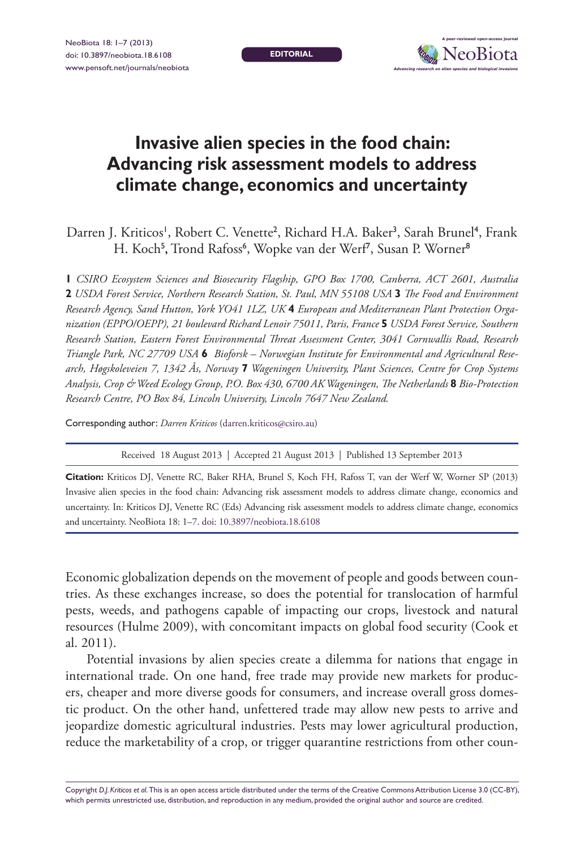**editorial**



## **Invasive alien species in the food chain: Advancing risk assessment models to address climate change, economics and uncertainty**

Darren J. Kriticos<sup>1</sup>, Robert C. Venette<sup>2</sup>, Richard H.A. Baker<sup>3</sup>, Sarah Brunel<sup>4</sup>, Frank H. Koch<sup>5</sup>, Trond Rafoss<sup>6</sup>, Wopke van der Werf<sup>7</sup>, Susan P. Worner<sup>8</sup>

**1** *CSIRO Ecosystem Sciences and Biosecurity Flagship, GPO Box 1700, Canberra, ACT 2601, Australia*  **2** *USDA Forest Service, Northern Research Station, St. Paul, MN 55108 USA* **3** *The Food and Environment Research Agency, Sand Hutton, York YO41 1LZ, UK* **4** *European and Mediterranean Plant Protection Organization (EPPO/OEPP), 21 boulevard Richard Lenoir 75011, Paris, France* **5** *USDA Forest Service, Southern Research Station, Eastern Forest Environmental Threat Assessment Center, 3041 Cornwallis Road, Research Triangle Park, NC 27709 USA* **6** *Bioforsk – Norwegian Institute for Environmental and Agricultural Research, Høgskoleveien 7, 1342 Ås, Norway* **7** *Wageningen University, Plant Sciences, Centre for Crop Systems Analysis, Crop & Weed Ecology Group, P.O. Box 430, 6700 AK Wageningen, The Netherlands* **8** *Bio-Protection Research Centre, PO Box 84, Lincoln University, Lincoln 7647 New Zealand.*

Corresponding author: *Darren Kriticos* [\(darren.kriticos@csiro.au\)](mailto:darren.kriticos@csiro.au)

Received 18 August 2013 | Accepted 21 August 2013 | Published 13 September 2013

**Citation:** Kriticos DJ, Venette RC, Baker RHA, Brunel S, Koch FH, Rafoss T, van der Werf W, Worner SP (2013) Invasive alien species in the food chain: Advancing risk assessment models to address climate change, economics and uncertainty. In: Kriticos DJ, Venette RC (Eds) Advancing risk assessment models to address climate change, economics and uncertainty. NeoBiota 18: 1–7. [doi: 10.3897/neobiota.18.6108](http://dx.doi.org/10.3897/neobiota.18.6108)

Economic globalization depends on the movement of people and goods between countries. As these exchanges increase, so does the potential for translocation of harmful pests, weeds, and pathogens capable of impacting our crops, livestock and natural resources (Hulme 2009), with concomitant impacts on global food security (Cook et al. 2011).

Potential invasions by alien species create a dilemma for nations that engage in international trade. On one hand, free trade may provide new markets for producers, cheaper and more diverse goods for consumers, and increase overall gross domestic product. On the other hand, unfettered trade may allow new pests to arrive and jeopardize domestic agricultural industries. Pests may lower agricultural production, reduce the marketability of a crop, or trigger quarantine restrictions from other coun-

Copyright *D.J. Kriticos et al.* This is an open access article distributed under the terms of the [Creative Commons Attribution License 3.0 \(CC-BY\),](http://creativecommons.org/licenses/by/3.0/) which permits unrestricted use, distribution, and reproduction in any medium, provided the original author and source are credited.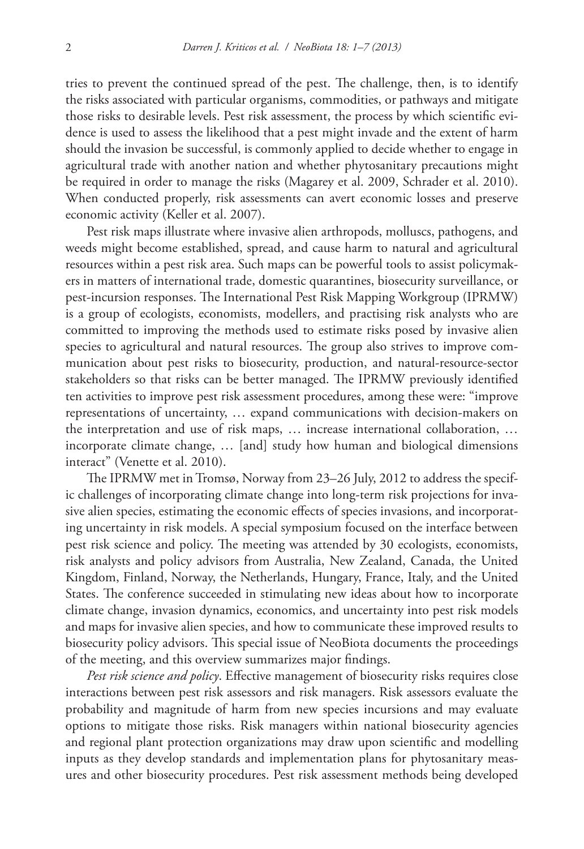tries to prevent the continued spread of the pest. The challenge, then, is to identify the risks associated with particular organisms, commodities, or pathways and mitigate those risks to desirable levels. Pest risk assessment, the process by which scientific evidence is used to assess the likelihood that a pest might invade and the extent of harm should the invasion be successful, is commonly applied to decide whether to engage in agricultural trade with another nation and whether phytosanitary precautions might be required in order to manage the risks (Magarey et al. 2009, Schrader et al. 2010). When conducted properly, risk assessments can avert economic losses and preserve economic activity (Keller et al. 2007).

Pest risk maps illustrate where invasive alien arthropods, molluscs, pathogens, and weeds might become established, spread, and cause harm to natural and agricultural resources within a pest risk area. Such maps can be powerful tools to assist policymakers in matters of international trade, domestic quarantines, biosecurity surveillance, or pest-incursion responses. The International Pest Risk Mapping Workgroup (IPRMW) is a group of ecologists, economists, modellers, and practising risk analysts who are committed to improving the methods used to estimate risks posed by invasive alien species to agricultural and natural resources. The group also strives to improve communication about pest risks to biosecurity, production, and natural-resource-sector stakeholders so that risks can be better managed. The IPRMW previously identified ten activities to improve pest risk assessment procedures, among these were: "improve representations of uncertainty, … expand communications with decision-makers on the interpretation and use of risk maps, … increase international collaboration, … incorporate climate change, … [and] study how human and biological dimensions interact" (Venette et al. 2010).

The IPRMW met in Tromsø, Norway from 23–26 July, 2012 to address the specific challenges of incorporating climate change into long-term risk projections for invasive alien species, estimating the economic effects of species invasions, and incorporating uncertainty in risk models. A special symposium focused on the interface between pest risk science and policy. The meeting was attended by 30 ecologists, economists, risk analysts and policy advisors from Australia, New Zealand, Canada, the United Kingdom, Finland, Norway, the Netherlands, Hungary, France, Italy, and the United States. The conference succeeded in stimulating new ideas about how to incorporate climate change, invasion dynamics, economics, and uncertainty into pest risk models and maps for invasive alien species, and how to communicate these improved results to biosecurity policy advisors. This special issue of NeoBiota documents the proceedings of the meeting, and this overview summarizes major findings.

*Pest risk science and policy*. Effective management of biosecurity risks requires close interactions between pest risk assessors and risk managers. Risk assessors evaluate the probability and magnitude of harm from new species incursions and may evaluate options to mitigate those risks. Risk managers within national biosecurity agencies and regional plant protection organizations may draw upon scientific and modelling inputs as they develop standards and implementation plans for phytosanitary measures and other biosecurity procedures. Pest risk assessment methods being developed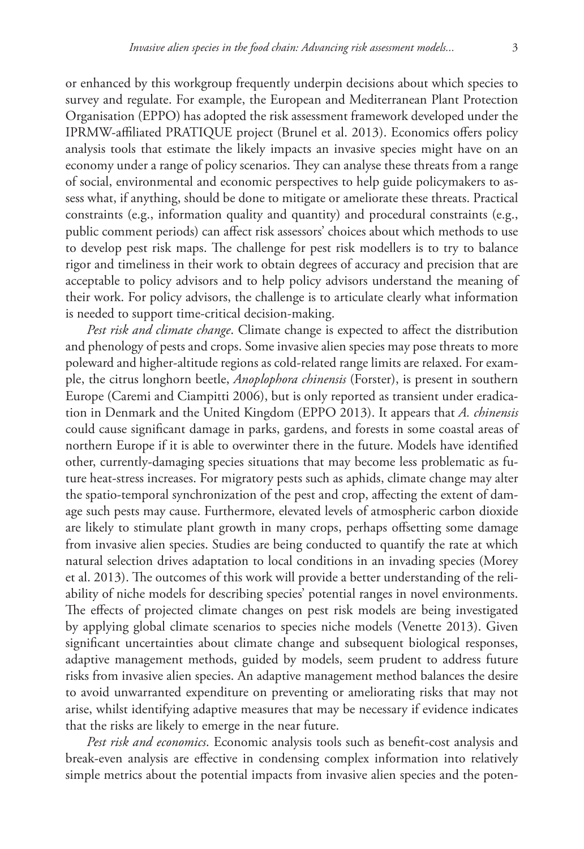or enhanced by this workgroup frequently underpin decisions about which species to survey and regulate. For example, the European and Mediterranean Plant Protection Organisation (EPPO) has adopted the risk assessment framework developed under the IPRMW-affiliated PRATIQUE project (Brunel et al. 2013). Economics offers policy analysis tools that estimate the likely impacts an invasive species might have on an economy under a range of policy scenarios. They can analyse these threats from a range of social, environmental and economic perspectives to help guide policymakers to assess what, if anything, should be done to mitigate or ameliorate these threats. Practical constraints (e.g., information quality and quantity) and procedural constraints (e.g., public comment periods) can affect risk assessors' choices about which methods to use to develop pest risk maps. The challenge for pest risk modellers is to try to balance rigor and timeliness in their work to obtain degrees of accuracy and precision that are acceptable to policy advisors and to help policy advisors understand the meaning of their work. For policy advisors, the challenge is to articulate clearly what information is needed to support time-critical decision-making.

*Pest risk and climate change*. Climate change is expected to affect the distribution and phenology of pests and crops. Some invasive alien species may pose threats to more poleward and higher-altitude regions as cold-related range limits are relaxed. For example, the citrus longhorn beetle, *Anoplophora chinensis* (Forster), is present in southern Europe (Caremi and Ciampitti 2006), but is only reported as transient under eradication in Denmark and the United Kingdom (EPPO 2013). It appears that *A. chinensis* could cause significant damage in parks, gardens, and forests in some coastal areas of northern Europe if it is able to overwinter there in the future. Models have identified other, currently-damaging species situations that may become less problematic as future heat-stress increases. For migratory pests such as aphids, climate change may alter the spatio-temporal synchronization of the pest and crop, affecting the extent of damage such pests may cause. Furthermore, elevated levels of atmospheric carbon dioxide are likely to stimulate plant growth in many crops, perhaps offsetting some damage from invasive alien species. Studies are being conducted to quantify the rate at which natural selection drives adaptation to local conditions in an invading species (Morey et al. 2013). The outcomes of this work will provide a better understanding of the reliability of niche models for describing species' potential ranges in novel environments. The effects of projected climate changes on pest risk models are being investigated by applying global climate scenarios to species niche models (Venette 2013). Given significant uncertainties about climate change and subsequent biological responses, adaptive management methods, guided by models, seem prudent to address future risks from invasive alien species. An adaptive management method balances the desire to avoid unwarranted expenditure on preventing or ameliorating risks that may not arise, whilst identifying adaptive measures that may be necessary if evidence indicates that the risks are likely to emerge in the near future.

*Pest risk and economics*. Economic analysis tools such as benefit-cost analysis and break-even analysis are effective in condensing complex information into relatively simple metrics about the potential impacts from invasive alien species and the poten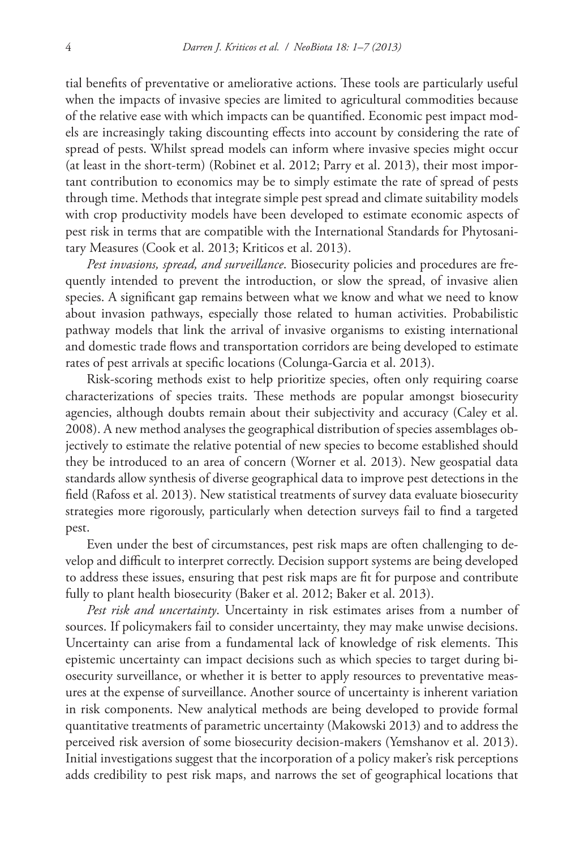tial benefits of preventative or ameliorative actions. These tools are particularly useful when the impacts of invasive species are limited to agricultural commodities because of the relative ease with which impacts can be quantified. Economic pest impact models are increasingly taking discounting effects into account by considering the rate of spread of pests. Whilst spread models can inform where invasive species might occur (at least in the short-term) (Robinet et al. 2012; Parry et al. 2013), their most important contribution to economics may be to simply estimate the rate of spread of pests through time. Methods that integrate simple pest spread and climate suitability models with crop productivity models have been developed to estimate economic aspects of pest risk in terms that are compatible with the International Standards for Phytosanitary Measures (Cook et al. 2013; Kriticos et al. 2013).

*Pest invasions, spread, and surveillance*. Biosecurity policies and procedures are frequently intended to prevent the introduction, or slow the spread, of invasive alien species. A significant gap remains between what we know and what we need to know about invasion pathways, especially those related to human activities. Probabilistic pathway models that link the arrival of invasive organisms to existing international and domestic trade flows and transportation corridors are being developed to estimate rates of pest arrivals at specific locations (Colunga-Garcia et al. 2013).

Risk-scoring methods exist to help prioritize species, often only requiring coarse characterizations of species traits. These methods are popular amongst biosecurity agencies, although doubts remain about their subjectivity and accuracy (Caley et al. 2008). A new method analyses the geographical distribution of species assemblages objectively to estimate the relative potential of new species to become established should they be introduced to an area of concern (Worner et al. 2013). New geospatial data standards allow synthesis of diverse geographical data to improve pest detections in the field (Rafoss et al. 2013). New statistical treatments of survey data evaluate biosecurity strategies more rigorously, particularly when detection surveys fail to find a targeted pest.

Even under the best of circumstances, pest risk maps are often challenging to develop and difficult to interpret correctly. Decision support systems are being developed to address these issues, ensuring that pest risk maps are fit for purpose and contribute fully to plant health biosecurity (Baker et al. 2012; Baker et al. 2013).

*Pest risk and uncertainty*. Uncertainty in risk estimates arises from a number of sources. If policymakers fail to consider uncertainty, they may make unwise decisions. Uncertainty can arise from a fundamental lack of knowledge of risk elements. This epistemic uncertainty can impact decisions such as which species to target during biosecurity surveillance, or whether it is better to apply resources to preventative measures at the expense of surveillance. Another source of uncertainty is inherent variation in risk components. New analytical methods are being developed to provide formal quantitative treatments of parametric uncertainty (Makowski 2013) and to address the perceived risk aversion of some biosecurity decision-makers (Yemshanov et al. 2013). Initial investigations suggest that the incorporation of a policy maker's risk perceptions adds credibility to pest risk maps, and narrows the set of geographical locations that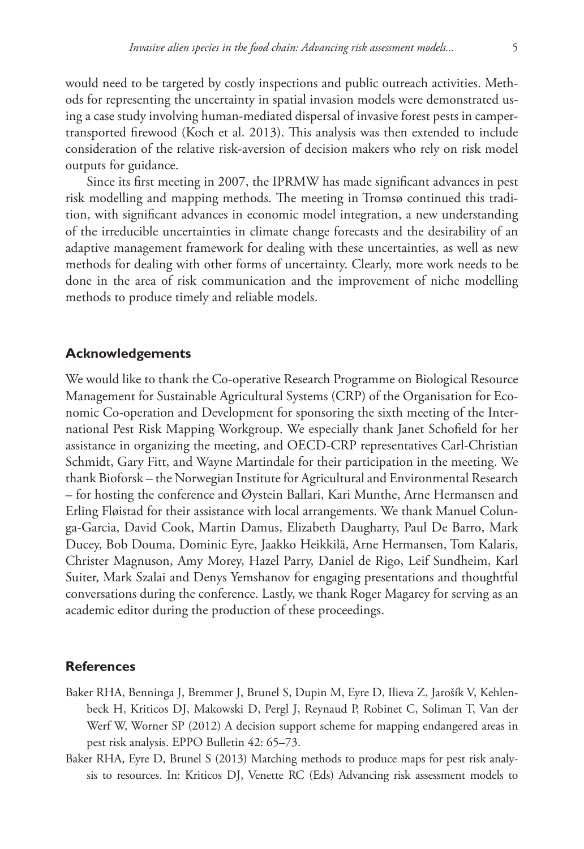would need to be targeted by costly inspections and public outreach activities. Methods for representing the uncertainty in spatial invasion models were demonstrated using a case study involving human-mediated dispersal of invasive forest pests in campertransported firewood (Koch et al. 2013). This analysis was then extended to include consideration of the relative risk-aversion of decision makers who rely on risk model outputs for guidance.

Since its first meeting in 2007, the IPRMW has made significant advances in pest risk modelling and mapping methods. The meeting in Tromsø continued this tradition, with significant advances in economic model integration, a new understanding of the irreducible uncertainties in climate change forecasts and the desirability of an adaptive management framework for dealing with these uncertainties, as well as new methods for dealing with other forms of uncertainty. Clearly, more work needs to be done in the area of risk communication and the improvement of niche modelling methods to produce timely and reliable models.

## **Acknowledgements**

We would like to thank the Co-operative Research Programme on Biological Resource Management for Sustainable Agricultural Systems (CRP) of the Organisation for Economic Co-operation and Development for sponsoring the sixth meeting of the International Pest Risk Mapping Workgroup. We especially thank Janet Schofield for her assistance in organizing the meeting, and OECD-CRP representatives Carl-Christian Schmidt, Gary Fitt, and Wayne Martindale for their participation in the meeting. We thank Bioforsk – the Norwegian Institute for Agricultural and Environmental Research – for hosting the conference and Øystein Ballari, Kari Munthe, Arne Hermansen and Erling Fløistad for their assistance with local arrangements. We thank Manuel Colunga-Garcia, David Cook, Martin Damus, Elizabeth Daugharty, Paul De Barro, Mark Ducey, Bob Douma, Dominic Eyre, Jaakko Heikkilä, Arne Hermansen, Tom Kalaris, Christer Magnuson, Amy Morey, Hazel Parry, Daniel de Rigo, Leif Sundheim, Karl Suiter, Mark Szalai and Denys Yemshanov for engaging presentations and thoughtful conversations during the conference. Lastly, we thank Roger Magarey for serving as an academic editor during the production of these proceedings.

## **References**

- Baker RHA, Benninga J, Bremmer J, Brunel S, Dupin M, Eyre D, Ilieva Z, Jarošík V, Kehlenbeck H, Kriticos DJ, Makowski D, Pergl J, Reynaud P, Robinet C, Soliman T, Van der Werf W, Worner SP (2012) A decision support scheme for mapping endangered areas in pest risk analysis. EPPO Bulletin 42: 65–73.
- Baker RHA, Eyre D, Brunel S (2013) Matching methods to produce maps for pest risk analysis to resources. In: Kriticos DJ, Venette RC (Eds) Advancing risk assessment models to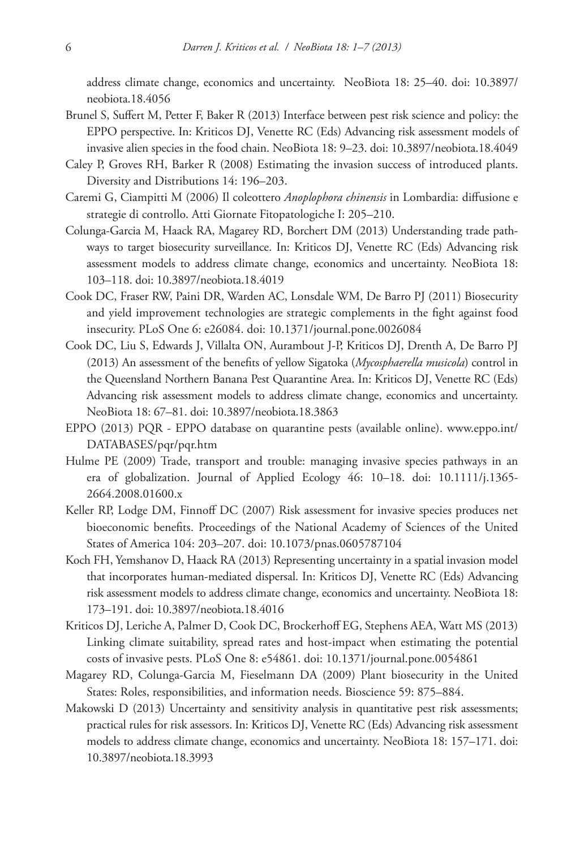address climate change, economics and uncertainty. NeoBiota 18: 25–40. [doi: 10.3897/](http://dx.doi.org/10.3897/neobiota.18.4056) [neobiota.18.4056](http://dx.doi.org/10.3897/neobiota.18.4056)

- Brunel S, Suffert M, Petter F, Baker R (2013) Interface between pest risk science and policy: the EPPO perspective. In: Kriticos DJ, Venette RC (Eds) Advancing risk assessment models of invasive alien species in the food chain. NeoBiota 18: 9–23. [doi: 10.3897/neobiota.18.4049](http://dx.doi.org/10.3897/neobiota.18.4049)
- Caley P, Groves RH, Barker R (2008) Estimating the invasion success of introduced plants. Diversity and Distributions 14: 196–203.
- Caremi G, Ciampitti M (2006) Il coleottero *Anoplophora chinensis* in Lombardia: diffusione e strategie di controllo. Atti Giornate Fitopatologiche I: 205–210.
- Colunga-Garcia M, Haack RA, Magarey RD, Borchert DM (2013) Understanding trade pathways to target biosecurity surveillance. In: Kriticos DJ, Venette RC (Eds) Advancing risk assessment models to address climate change, economics and uncertainty. NeoBiota 18: 103–118. [doi: 10.3897/neobiota.18.4019](http://dx.doi.org/10.3897/neobiota.18.4019)
- Cook DC, Fraser RW, Paini DR, Warden AC, Lonsdale WM, De Barro PJ (2011) Biosecurity and yield improvement technologies are strategic complements in the fight against food insecurity. PLoS One 6: e26084. [doi: 10.1371/journal.pone.0026084](http://dx.doi.org/10.1371/journal.pone.0026084)
- Cook DC, Liu S, Edwards J, Villalta ON, Aurambout J-P, Kriticos DJ, Drenth A, De Barro PJ (2013) An assessment of the benefits of yellow Sigatoka (*Mycosphaerella musicola*) control in the Queensland Northern Banana Pest Quarantine Area. In: Kriticos DJ, Venette RC (Eds) Advancing risk assessment models to address climate change, economics and uncertainty. NeoBiota 18: 67–81. [doi: 10.3897/neobiota.18.3863](http://dx.doi.org/10.3897/neobiota.18.3863)
- EPPO (2013) PQR EPPO database on quarantine pests (available online). [www.eppo.int/](www.eppo.int/DATABASES/pqr/pqr.htm) [DATABASES/pqr/pqr.htm](www.eppo.int/DATABASES/pqr/pqr.htm)
- Hulme PE (2009) Trade, transport and trouble: managing invasive species pathways in an era of globalization. Journal of Applied Ecology 46: 10–18. [doi: 10.1111/j.1365-](http://dx.doi.org/10.1111/j.1365-2664.2008.01600.x) [2664.2008.01600.x](http://dx.doi.org/10.1111/j.1365-2664.2008.01600.x)
- Keller RP, Lodge DM, Finnoff DC (2007) Risk assessment for invasive species produces net bioeconomic benefits. Proceedings of the National Academy of Sciences of the United States of America 104: 203–207. [doi: 10.1073/pnas.0605787104](http://dx.doi.org/10.1073/pnas.0605787104)
- Koch FH, Yemshanov D, Haack RA (2013) Representing uncertainty in a spatial invasion model that incorporates human-mediated dispersal. In: Kriticos DJ, Venette RC (Eds) Advancing risk assessment models to address climate change, economics and uncertainty. NeoBiota 18: 173–191. [doi: 10.3897/neobiota.18.4016](http://dx.doi.org/10.3897/neobiota.18.4016)
- Kriticos DJ, Leriche A, Palmer D, Cook DC, Brockerhoff EG, Stephens AEA, Watt MS (2013) Linking climate suitability, spread rates and host-impact when estimating the potential costs of invasive pests. PLoS One 8: e54861. [doi: 10.1371/journal.pone.0054861](http://dx.doi.org/10.1371/journal.pone.0054861)
- Magarey RD, Colunga-Garcia M, Fieselmann DA (2009) Plant biosecurity in the United States: Roles, responsibilities, and information needs. Bioscience 59: 875–884.
- Makowski D (2013) Uncertainty and sensitivity analysis in quantitative pest risk assessments; practical rules for risk assessors. In: Kriticos DJ, Venette RC (Eds) Advancing risk assessment models to address climate change, economics and uncertainty. NeoBiota 18: 157–171. [doi:](http://dx.doi.org/10.3897/neobiota.18.3993) [10.3897/neobiota.18.3993](http://dx.doi.org/10.3897/neobiota.18.3993)